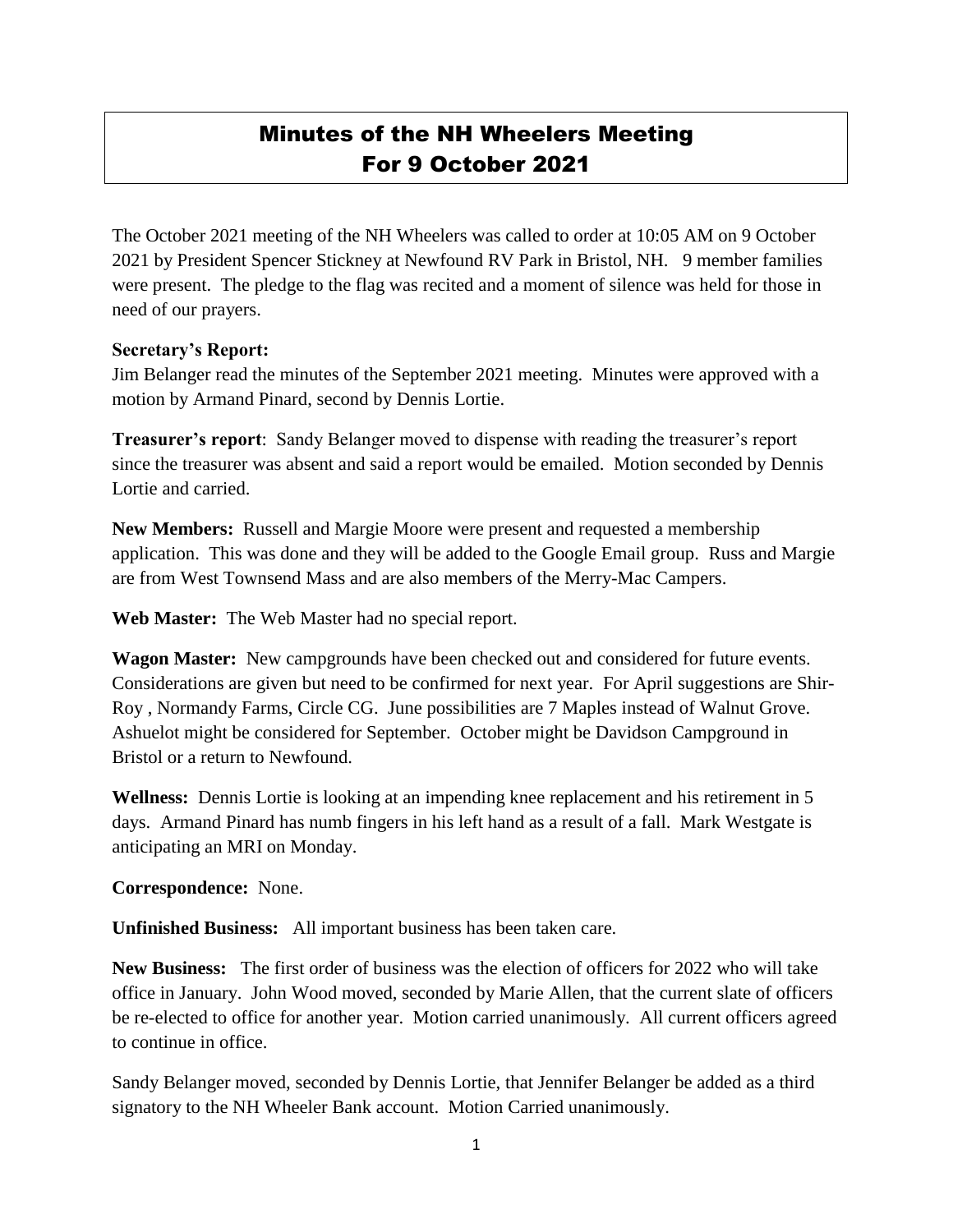## Minutes of the NH Wheelers Meeting For 9 October 2021

The October 2021 meeting of the NH Wheelers was called to order at 10:05 AM on 9 October 2021 by President Spencer Stickney at Newfound RV Park in Bristol, NH. 9 member families were present. The pledge to the flag was recited and a moment of silence was held for those in need of our prayers.

## **Secretary's Report:**

Jim Belanger read the minutes of the September 2021 meeting. Minutes were approved with a motion by Armand Pinard, second by Dennis Lortie.

**Treasurer's report**: Sandy Belanger moved to dispense with reading the treasurer's report since the treasurer was absent and said a report would be emailed. Motion seconded by Dennis Lortie and carried.

**New Members:** Russell and Margie Moore were present and requested a membership application. This was done and they will be added to the Google Email group. Russ and Margie are from West Townsend Mass and are also members of the Merry-Mac Campers.

**Web Master:** The Web Master had no special report.

**Wagon Master:** New campgrounds have been checked out and considered for future events. Considerations are given but need to be confirmed for next year. For April suggestions are Shir-Roy , Normandy Farms, Circle CG. June possibilities are 7 Maples instead of Walnut Grove. Ashuelot might be considered for September. October might be Davidson Campground in Bristol or a return to Newfound.

**Wellness:** Dennis Lortie is looking at an impending knee replacement and his retirement in 5 days. Armand Pinard has numb fingers in his left hand as a result of a fall. Mark Westgate is anticipating an MRI on Monday.

## **Correspondence:** None.

**Unfinished Business:** All important business has been taken care.

**New Business:** The first order of business was the election of officers for 2022 who will take office in January. John Wood moved, seconded by Marie Allen, that the current slate of officers be re-elected to office for another year. Motion carried unanimously. All current officers agreed to continue in office.

Sandy Belanger moved, seconded by Dennis Lortie, that Jennifer Belanger be added as a third signatory to the NH Wheeler Bank account. Motion Carried unanimously.